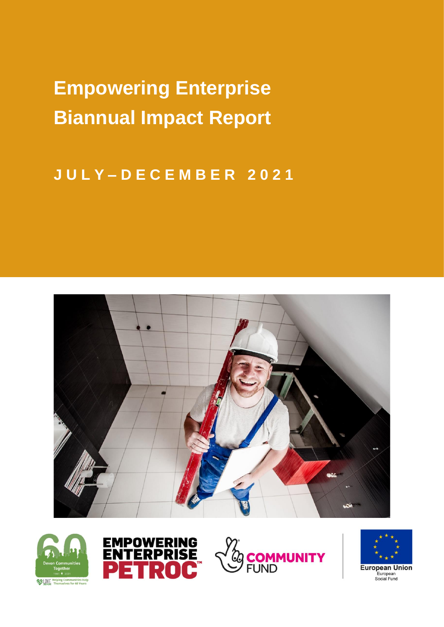**Empowering Enterprise Biannual Impact Report**

# **J U L Y – D E C E M B E R 2 0 2 1**











**European Union** European<br>Social Fund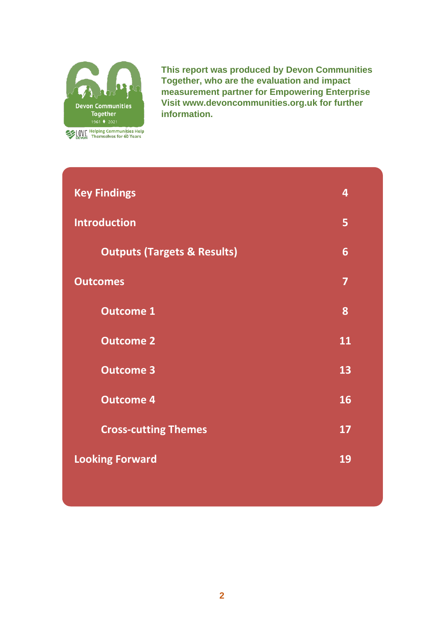

**This report was produced by Devon Communities Together, who are the evaluation and impact measurement partner for Empowering Enterprise Visit www.devoncommunities.org.uk for further information.** 

| <b>Key Findings</b>                    | 4  |
|----------------------------------------|----|
| <b>Introduction</b>                    | 5  |
| <b>Outputs (Targets &amp; Results)</b> | 6  |
| <b>Outcomes</b>                        | 7  |
| <b>Outcome 1</b>                       | 8  |
| <b>Outcome 2</b>                       | 11 |
| <b>Outcome 3</b>                       | 13 |
| <b>Outcome 4</b>                       | 16 |
| <b>Cross-cutting Themes</b>            | 17 |
| <b>Looking Forward</b>                 | 19 |
|                                        |    |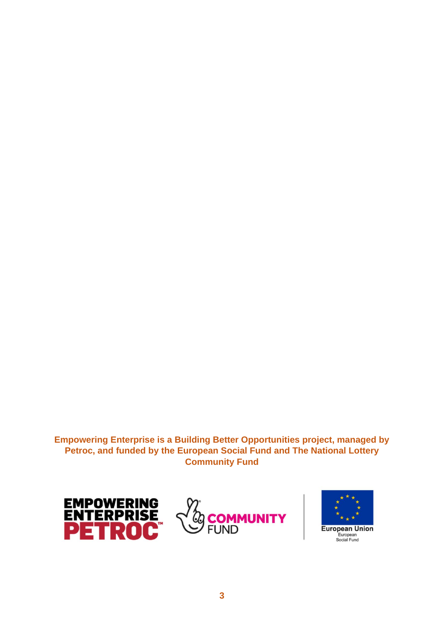#### **Empowering Enterprise is a Building Better Opportunities project, managed by Petroc, and funded by the European Social Fund and The National Lottery Community Fund**





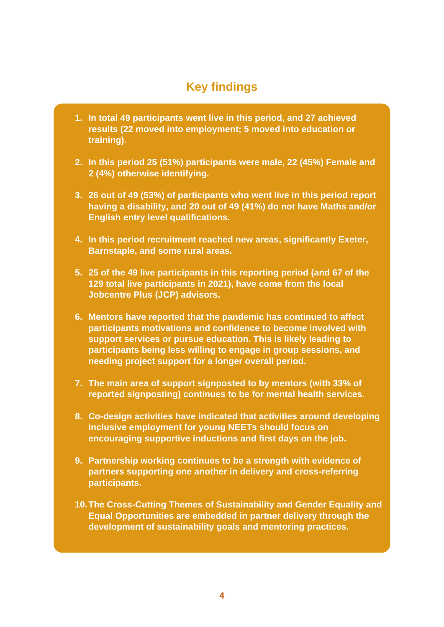### **Key findings**

- **1. In total 49 participants went live in this period, and 27 achieved results (22 moved into employment; 5 moved into education or training).**
- **2. In this period 25 (51%) participants were male, 22 (45%) Female and 2 (4%) otherwise identifying.**
- **3. 26 out of 49 (53%) of participants who went live in this period report having a disability, and 20 out of 49 (41%) do not have Maths and/or English entry level qualifications.**
- **4. In this period recruitment reached new areas, significantly Exeter, Barnstaple, and some rural areas.**
- **5. 25 of the 49 live participants in this reporting period (and 67 of the 129 total live participants in 2021), have come from the local Jobcentre Plus (JCP) advisors.**
- **6. Mentors have reported that the pandemic has continued to affect participants motivations and confidence to become involved with support services or pursue education. This is likely leading to participants being less willing to engage in group sessions, and needing project support for a longer overall period.**
- **7. The main area of support signposted to by mentors (with 33% of reported signposting) continues to be for mental health services.**
- **8. Co-design activities have indicated that activities around developing inclusive employment for young NEETs should focus on encouraging supportive inductions and first days on the job.**
- **9. Partnership working continues to be a strength with evidence of partners supporting one another in delivery and cross-referring participants.**
- **10.The Cross-Cutting Themes of Sustainability and Gender Equality and Equal Opportunities are embedded in partner delivery through the development of sustainability goals and mentoring practices.**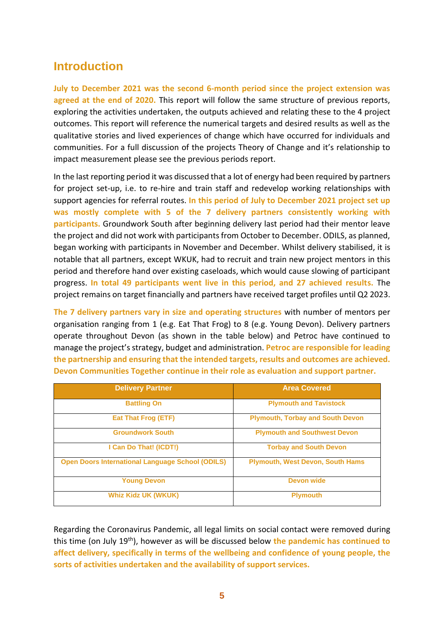### **Introduction**

**July to December 2021 was the second 6-month period since the project extension was agreed at the end of 2020.** This report will follow the same structure of previous reports, exploring the activities undertaken, the outputs achieved and relating these to the 4 project outcomes. This report will reference the numerical targets and desired results as well as the qualitative stories and lived experiences of change which have occurred for individuals and communities. For a full discussion of the projects Theory of Change and it's relationship to impact measurement please see the previous periods report.

In the last reporting period it was discussed that a lot of energy had been required by partners for project set-up, i.e. to re-hire and train staff and redevelop working relationships with support agencies for referral routes. **In this period of July to December 2021 project set up was mostly complete with 5 of the 7 delivery partners consistently working with participants.** Groundwork South after beginning delivery last period had their mentor leave the project and did not work with participants from October to December. ODILS, as planned, began working with participants in November and December. Whilst delivery stabilised, it is notable that all partners, except WKUK, had to recruit and train new project mentors in this period and therefore hand over existing caseloads, which would cause slowing of participant progress. **In total 49 participants went live in this period, and 27 achieved results.** The project remains on target financially and partners have received target profiles until Q2 2023.

**The 7 delivery partners vary in size and operating structures** with number of mentors per organisation ranging from 1 (e.g. Eat That Frog) to 8 (e.g. Young Devon). Delivery partners operate throughout Devon (as shown in the table below) and Petroc have continued to manage the project's strategy, budget and administration. **Petroc are responsible for leading the partnership and ensuring that the intended targets, results and outcomes are achieved. Devon Communities Together continue in their role as evaluation and support partner.**

| <b>Delivery Partner</b>                                 | <b>Area Covered</b>                     |  |  |
|---------------------------------------------------------|-----------------------------------------|--|--|
| <b>Battling On</b>                                      | <b>Plymouth and Tavistock</b>           |  |  |
| <b>Eat That Frog (ETF)</b>                              | <b>Plymouth, Torbay and South Devon</b> |  |  |
| <b>Groundwork South</b>                                 | <b>Plymouth and Southwest Devon</b>     |  |  |
| I Can Do That! (ICDT!)                                  | <b>Torbay and South Devon</b>           |  |  |
| <b>Open Doors International Language School (ODILS)</b> | <b>Plymouth, West Devon, South Hams</b> |  |  |
| <b>Young Devon</b>                                      | <b>Devon wide</b>                       |  |  |
| <b>Whiz Kidz UK (WKUK)</b>                              | <b>Plymouth</b>                         |  |  |

Regarding the Coronavirus Pandemic, all legal limits on social contact were removed during this time (on July 19th), however as will be discussed below **the pandemic has continued to affect delivery, specifically in terms of the wellbeing and confidence of young people, the sorts of activities undertaken and the availability of support services.**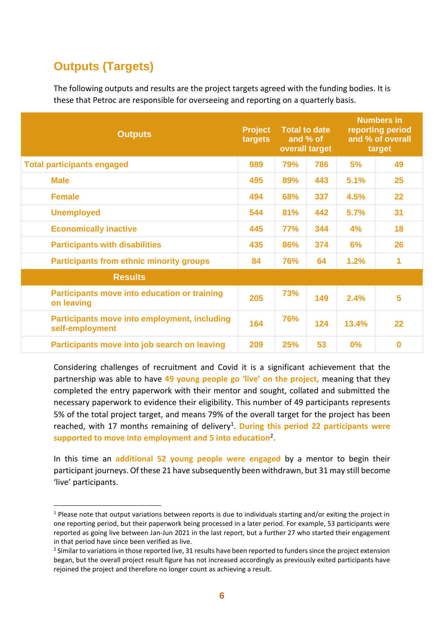## **Outputs (Targets)**

The following outputs and results are the project targets agreed with the funding bodies. It is these that Petroc are responsible for overseeing and reporting on a quarterly basis.

| <b>Outputs</b>                                                    | <b>Project</b><br>targets |            | <b>Total to date</b><br>and % of<br>overall target |       | <b>Numbers in</b><br>reporting period<br>and % of overall<br>target |
|-------------------------------------------------------------------|---------------------------|------------|----------------------------------------------------|-------|---------------------------------------------------------------------|
| <b>Total participants engaged</b>                                 | 989                       | 79%        | 786                                                | 5%    | 49                                                                  |
| <b>Male</b>                                                       | 495                       | 89%        | 443                                                | 5.1%  | 25                                                                  |
| <b>Female</b>                                                     | 494                       | 68%        | 337                                                | 4.5%  | 22                                                                  |
| <b>Unemployed</b>                                                 | 544                       | 81%        | 442                                                | 5.7%  | 31                                                                  |
| <b>Economically inactive</b>                                      | 445                       | <b>77%</b> | 344                                                | 4%    | 18                                                                  |
| <b>Participants with disabilities</b>                             | 435                       | 86%        | 374                                                | 6%    | 26                                                                  |
| <b>Participants from ethnic minority groups</b>                   |                           | 76%        | 64                                                 | 1.2%  | 1                                                                   |
| <b>Results</b>                                                    |                           |            |                                                    |       |                                                                     |
| <b>Participants move into education or training</b><br>on leaving | 205                       | 73%        | 149                                                | 2.4%  | 5                                                                   |
| Participants move into employment, including<br>self-employment   | 164                       | <b>76%</b> | 124                                                | 13.4% | 22                                                                  |
| Participants move into job search on leaving                      | 209                       | 25%        | 53                                                 | 0%    | $\bf{0}$                                                            |

Considering challenges of recruitment and Covid it is a significant achievement that the partnership was able to have **49 young people go 'live' on the project,** meaning that they completed the entry paperwork with their mentor and sought, collated and submitted the necessary paperwork to evidence their eligibility. This number of 49 participants represents 5% of the total project target, and means 79% of the overall target for the project has been reached, with 17 months remaining of delivery<sup>1</sup>. During this period 22 participants were **supported to move into employment and 5 into education**<sup>2</sup> **.**

In this time an **additional 52 young people were engaged** by a mentor to begin their participant journeys. Of these 21 have subsequently been withdrawn, but 31 may still become 'live' participants.

 $1$  Please note that output variations between reports is due to individuals starting and/or exiting the project in one reporting period, but their paperwork being processed in a later period. For example, 53 participants were reported as going live between Jan-Jun 2021 in the last report, but a further 27 who started their engagement in that period have since been verified as live.

 $2$  Similar to variations in those reported live, 31 results have been reported to funders since the project extension began, but the overall project result figure has not increased accordingly as previously exited participants have rejoined the project and therefore no longer count as achieving a result.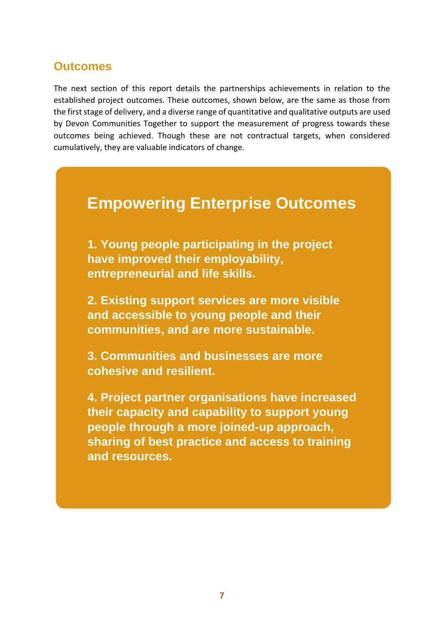The next section of this report details the partnerships achievements in relation to the established project outcomes. These outcomes, shown below, are the same as those from the first stage of delivery, and a diverse range of quantitative and qualitative outputs are used by Devon Communities Together to support the measurement of progress towards these outcomes being achieved. Though these are not contractual targets, when considered cumulatively, they are valuable indicators of change.

# **Empowering Enterprise Outcomes**

**1. Young people participating in the project have improved their employability, entrepreneurial and life skills.**

**2. Existing support services are more visible and accessible to young people and their communities, and are more sustainable.**

**3. Communities and businesses are more cohesive and resilient.**

**4. Project partner organisations have increased their capacity and capability to support young people through a more joined-up approach, sharing of best practice and access to training and resources.**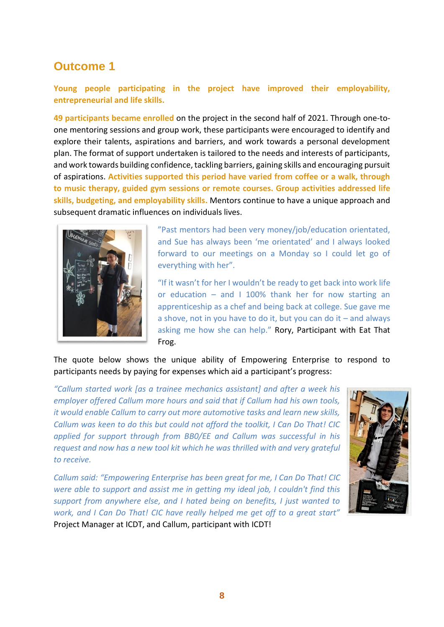**Young people participating in the project have improved their employability, entrepreneurial and life skills.**

**49 participants became enrolled** on the project in the second half of 2021. Through one-toone mentoring sessions and group work, these participants were encouraged to identify and explore their talents, aspirations and barriers, and work towards a personal development plan. The format of support undertaken is tailored to the needs and interests of participants, and work towards building confidence, tackling barriers, gaining skills and encouraging pursuit of aspirations. **Activities supported this period have varied from coffee or a walk, through to music therapy, guided gym sessions or remote courses. Group activities addressed life skills, budgeting, and employability skills.** Mentors continue to have a unique approach and subsequent dramatic influences on individuals lives.



"Past mentors had been very money/job/education orientated, and Sue has always been 'me orientated' and I always looked forward to our meetings on a Monday so I could let go of everything with her".

"If it wasn't for her I wouldn't be ready to get back into work life or education  $-$  and I 100% thank her for now starting an apprenticeship as a chef and being back at college. Sue gave me a shove, not in you have to do it, but you can do it  $-$  and always asking me how she can help." Rory, Participant with Eat That Frog.

The quote below shows the unique ability of Empowering Enterprise to respond to participants needs by paying for expenses which aid a participant's progress:

*"Callum started work [as a trainee mechanics assistant] and after a week his employer offered Callum more hours and said that if Callum had his own tools, it would enable Callum to carry out more automotive tasks and learn new skills, Callum was keen to do this but could not afford the toolkit, I Can Do That! CIC applied for support through from BB0/EE and Callum was successful in his request and now has a new tool kit which he was thrilled with and very grateful to receive.*

*Callum said: "Empowering Enterprise has been great for me, I Can Do That! CIC were able to support and assist me in getting my ideal job, I couldn't find this support from anywhere else, and I hated being on benefits, I just wanted to work, and I Can Do That! CIC have really helped me get off to a great start"*  Project Manager at ICDT, and Callum, participant with ICDT!

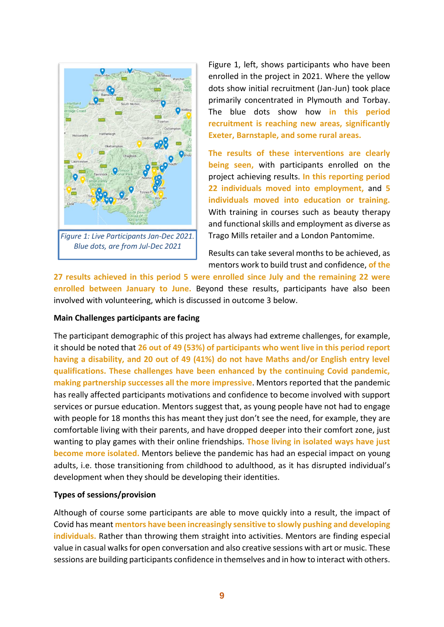

Figure 1, left, shows participants who have been enrolled in the project in 2021. Where the yellow dots show initial recruitment (Jan-Jun) took place primarily concentrated in Plymouth and Torbay. The blue dots show how **in this period recruitment is reaching new areas, significantly Exeter, Barnstaple, and some rural areas.**

**The results of these interventions are clearly being seen,** with participants enrolled on the project achieving results. **In this reporting period 22 individuals moved into employment,** and **5 individuals moved into education or training.**  With training in courses such as beauty therapy and functional skills and employment as diverse as Trago Mills retailer and a London Pantomime.

Results can take several months to be achieved, as mentors work to build trust and confidence, **of the** 

**27 results achieved in this period 5 were enrolled since July and the remaining 22 were enrolled between January to June.** Beyond these results, participants have also been involved with volunteering, which is discussed in outcome 3 below.

#### **Main Challenges participants are facing**

The participant demographic of this project has always had extreme challenges, for example, it should be noted that **26 out of 49 (53%) of participants who went live in this period report having a disability, and 20 out of 49 (41%) do not have Maths and/or English entry level qualifications. These challenges have been enhanced by the continuing Covid pandemic, making partnership successes all the more impressive**. Mentors reported that the pandemic has really affected participants motivations and confidence to become involved with support services or pursue education. Mentors suggest that, as young people have not had to engage with people for 18 months this has meant they just don't see the need, for example, they are comfortable living with their parents, and have dropped deeper into their comfort zone, just wanting to play games with their online friendships. **Those living in isolated ways have just become more isolated.** Mentors believe the pandemic has had an especial impact on young adults, i.e. those transitioning from childhood to adulthood, as it has disrupted individual's development when they should be developing their identities.

#### **Types of sessions/provision**

Although of course some participants are able to move quickly into a result, the impact of Covid has meant **mentors have been increasingly sensitive to slowly pushing and developing individuals.** Rather than throwing them straight into activities. Mentors are finding especial value in casual walks for open conversation and also creative sessions with art or music. These sessions are building participants confidence in themselves and in how to interact with others.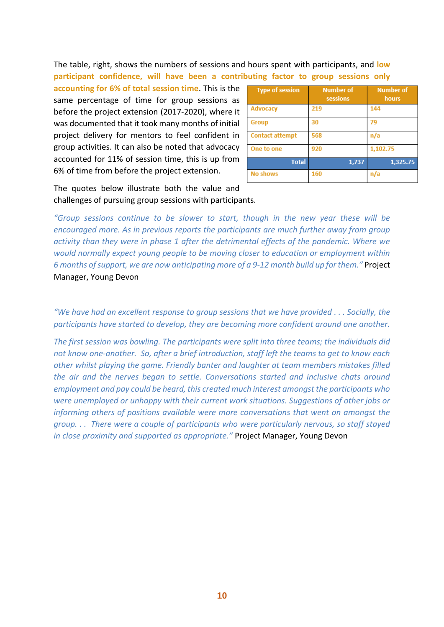The table, right, shows the numbers of sessions and hours spent with participants, and **low participant confidence, will have been a contributing factor to group sessions only** 

**accounting for 6% of total session time**. This is the same percentage of time for group sessions as before the project extension (2017-2020), where it was documented that it took many months of initial project delivery for mentors to feel confident in group activities. It can also be noted that advocacy accounted for 11% of session time, this is up from 6% of time from before the project extension.

| <b>Type of session</b> | <b>Number of</b><br>sessions | <b>Number of</b><br>hours |
|------------------------|------------------------------|---------------------------|
| <b>Advocacy</b>        | 219                          | 144                       |
| <b>Group</b>           | 30                           | 79                        |
| <b>Contact attempt</b> | 568                          | n/a                       |
| One to one             | 920                          | 1,102.75                  |
| <b>Total</b>           | 1,737                        | 1,325.75                  |
| <b>No shows</b>        | 160                          | n/a                       |

The quotes below illustrate both the value and challenges of pursuing group sessions with participants.

*"Group sessions continue to be slower to start, though in the new year these will be encouraged more. As in previous reports the participants are much further away from group activity than they were in phase 1 after the detrimental effects of the pandemic. Where we would normally expect young people to be moving closer to education or employment within 6 months of support, we are now anticipating more of a 9-12 month build up for them."* Project Manager, Young Devon

*"We have had an excellent response to group sessions that we have provided . . . Socially, the participants have started to develop, they are becoming more confident around one another.* 

*The first session was bowling. The participants were split into three teams; the individuals did not know one-another. So, after a brief introduction, staff left the teams to get to know each other whilst playing the game. Friendly banter and laughter at team members mistakes filled the air and the nerves began to settle. Conversations started and inclusive chats around employment and pay could be heard, this created much interest amongst the participants who were unemployed or unhappy with their current work situations. Suggestions of other jobs or informing others of positions available were more conversations that went on amongst the group. . . There were a couple of participants who were particularly nervous, so staff stayed in close proximity and supported as appropriate."* Project Manager, Young Devon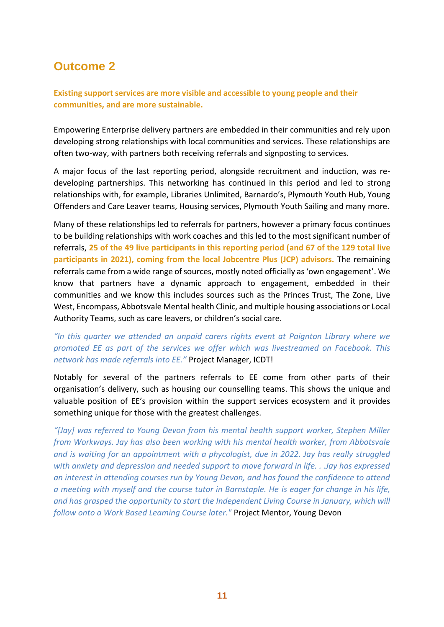**Existing support services are more visible and accessible to young people and their communities, and are more sustainable.**

Empowering Enterprise delivery partners are embedded in their communities and rely upon developing strong relationships with local communities and services. These relationships are often two-way, with partners both receiving referrals and signposting to services.

A major focus of the last reporting period, alongside recruitment and induction, was redeveloping partnerships. This networking has continued in this period and led to strong relationships with, for example, Libraries Unlimited, Barnardo's, Plymouth Youth Hub, Young Offenders and Care Leaver teams, Housing services, Plymouth Youth Sailing and many more.

Many of these relationships led to referrals for partners, however a primary focus continues to be building relationships with work coaches and this led to the most significant number of referrals, **25 of the 49 live participants in this reporting period (and 67 of the 129 total live participants in 2021), coming from the local Jobcentre Plus (JCP) advisors.** The remaining referrals came from a wide range of sources, mostly noted officially as 'own engagement'. We know that partners have a dynamic approach to engagement, embedded in their communities and we know this includes sources such as the Princes Trust, The Zone, Live West, Encompass, Abbotsvale Mental health Clinic, and multiple housing associations or Local Authority Teams, such as care leavers, or children's social care.

#### *"In this quarter we attended an unpaid carers rights event at Paignton Library where we promoted EE as part of the services we offer which was livestreamed on Facebook. This network has made referrals into EE."* Project Manager, ICDT!

Notably for several of the partners referrals to EE come from other parts of their organisation's delivery, such as housing our counselling teams. This shows the unique and valuable position of EE's provision within the support services ecosystem and it provides something unique for those with the greatest challenges.

*"[Jay] was referred to Young Devon from his mental health support worker, Stephen Miller from Workways. Jay has also been working with his mental health worker, from Abbotsvale and is waiting for an appointment with a phycologist, due in 2022. Jay has really struggled with anxiety and depression and needed support to move forward in life. . .Jay has expressed an interest in attending courses run by Young Devon, and has found the confidence to attend a meeting with myself and the course tutor in Barnstaple. He is eager for change in his life, and has grasped the opportunity to start the Independent Living Course in January, which will follow onto a Work Based Leaming Course later."* Project Mentor, Young Devon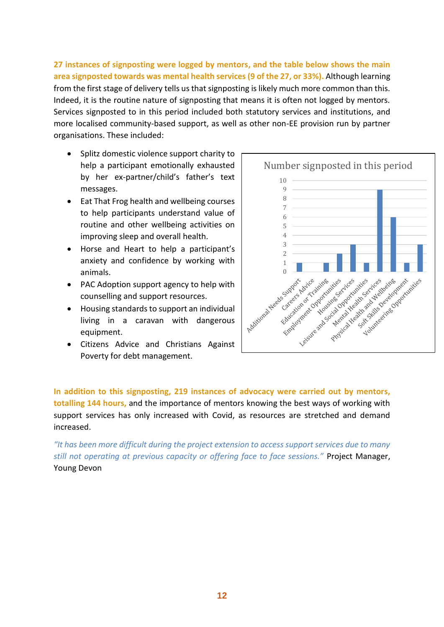**27 instances of signposting were logged by mentors, and the table below shows the main area signposted towards was mental health services (9 of the 27, or 33%).** Although learning from the first stage of delivery tells us that signposting is likely much more common than this. Indeed, it is the routine nature of signposting that means it is often not logged by mentors. Services signposted to in this period included both statutory services and institutions, and more localised community-based support, as well as other non-EE provision run by partner organisations. These included:

- Splitz domestic violence support charity to help a participant emotionally exhausted by her ex-partner/child's father's text messages.
- Eat That Frog health and wellbeing courses to help participants understand value of routine and other wellbeing activities on improving sleep and overall health.
- Horse and Heart to help a participant's anxiety and confidence by working with animals.
- PAC Adoption support agency to help with counselling and support resources.
- Housing standards to support an individual living in a caravan with dangerous equipment.
- Citizens Advice and Christians Against Poverty for debt management.



**In addition to this signposting, 219 instances of advocacy were carried out by mentors, totalling 144 hours,** and the importance of mentors knowing the best ways of working with support services has only increased with Covid, as resources are stretched and demand increased.

*"It has been more difficult during the project extension to access support services due to many still not operating at previous capacity or offering face to face sessions."* Project Manager, Young Devon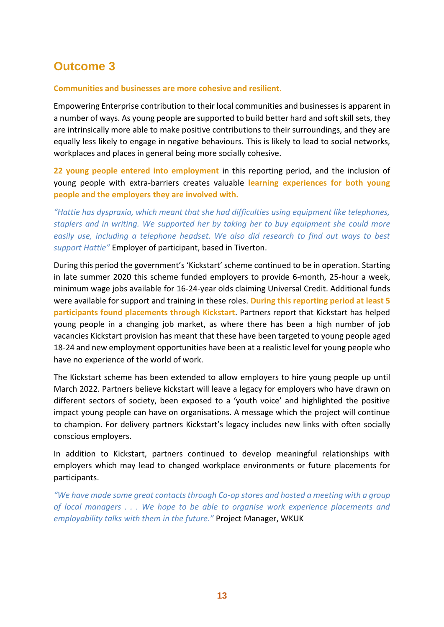#### **Communities and businesses are more cohesive and resilient.**

Empowering Enterprise contribution to their local communities and businesses is apparent in a number of ways. As young people are supported to build better hard and soft skill sets, they are intrinsically more able to make positive contributions to their surroundings, and they are equally less likely to engage in negative behaviours. This is likely to lead to social networks, workplaces and places in general being more socially cohesive.

**22 young people entered into employment** in this reporting period, and the inclusion of young people with extra-barriers creates valuable **learning experiences for both young people and the employers they are involved with.**

*"Hattie has dyspraxia, which meant that she had difficulties using equipment like telephones, staplers and in writing. We supported her by taking her to buy equipment she could more easily use, including a telephone headset. We also did research to find out ways to best support Hattie"* Employer of participant, based in Tiverton.

During this period the government's 'Kickstart' scheme continued to be in operation. Starting in late summer 2020 this scheme funded employers to provide 6-month, 25-hour a week, minimum wage jobs available for 16-24-year olds claiming Universal Credit. Additional funds were available for support and training in these roles. **During this reporting period at least 5 participants found placements through Kickstart**. Partners report that Kickstart has helped young people in a changing job market, as where there has been a high number of job vacancies Kickstart provision has meant that these have been targeted to young people aged 18-24 and new employment opportunities have been at a realistic level for young people who have no experience of the world of work.

The Kickstart scheme has been extended to allow employers to hire young people up until March 2022. Partners believe kickstart will leave a legacy for employers who have drawn on different sectors of society, been exposed to a 'youth voice' and highlighted the positive impact young people can have on organisations. A message which the project will continue to champion. For delivery partners Kickstart's legacy includes new links with often socially conscious employers.

In addition to Kickstart, partners continued to develop meaningful relationships with employers which may lead to changed workplace environments or future placements for participants.

*"We have made some great contacts through Co-op stores and hosted a meeting with a group of local managers . . . We hope to be able to organise work experience placements and employability talks with them in the future."* Project Manager, WKUK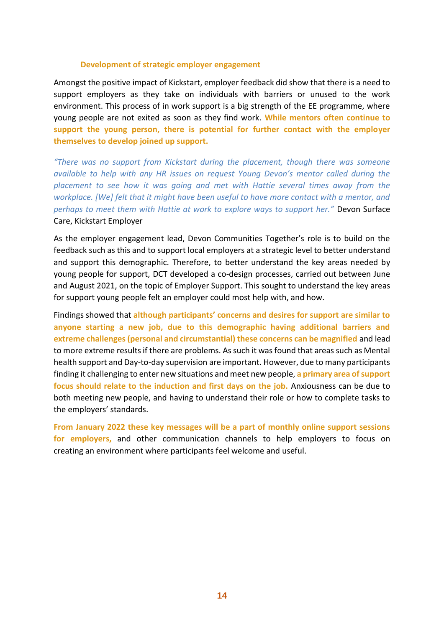#### **Development of strategic employer engagement**

Amongst the positive impact of Kickstart, employer feedback did show that there is a need to support employers as they take on individuals with barriers or unused to the work environment. This process of in work support is a big strength of the EE programme, where young people are not exited as soon as they find work. **While mentors often continue to support the young person, there is potential for further contact with the employer themselves to develop joined up support.**

*"There was no support from Kickstart during the placement, though there was someone available to help with any HR issues on request Young Devon's mentor called during the placement to see how it was going and met with Hattie several times away from the workplace. [We] felt that it might have been useful to have more contact with a mentor, and perhaps to meet them with Hattie at work to explore ways to support her."* Devon Surface Care, Kickstart Employer

As the employer engagement lead, Devon Communities Together's role is to build on the feedback such as this and to support local employers at a strategic level to better understand and support this demographic. Therefore, to better understand the key areas needed by young people for support, DCT developed a co-design processes, carried out between June and August 2021, on the topic of Employer Support. This sought to understand the key areas for support young people felt an employer could most help with, and how.

Findings showed that **although participants' concerns and desires for support are similar to anyone starting a new job, due to this demographic having additional barriers and extreme challenges (personal and circumstantial) these concerns can be magnified** and lead to more extreme results if there are problems. As such it was found that areas such as Mental health support and Day-to-day supervision are important. However, due to many participants finding it challenging to enter new situations and meet new people, **a primary area of support focus should relate to the induction and first days on the job.** Anxiousness can be due to both meeting new people, and having to understand their role or how to complete tasks to the employers' standards.

**From January 2022 these key messages will be a part of monthly online support sessions for employers,** and other communication channels to help employers to focus on creating an environment where participants feel welcome and useful.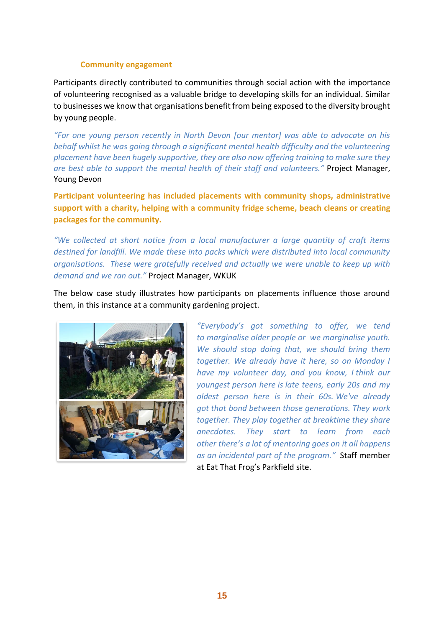#### **Community engagement**

Participants directly contributed to communities through social action with the importance of volunteering recognised as a valuable bridge to developing skills for an individual. Similar to businesses we know that organisations benefit from being exposed to the diversity brought by young people.

*"For one young person recently in North Devon [our mentor] was able to advocate on his behalf whilst he was going through a significant mental health difficulty and the volunteering placement have been hugely supportive, they are also now offering training to make sure they are best able to support the mental health of their staff and volunteers."* Project Manager, Young Devon

**Participant volunteering has included placements with community shops, administrative support with a charity, helping with a community fridge scheme, beach cleans or creating packages for the community.**

*"We collected at short notice from a local manufacturer a large quantity of craft items destined for landfill. We made these into packs which were distributed into local community organisations. These were gratefully received and actually we were unable to keep up with demand and we ran out."* Project Manager, WKUK

The below case study illustrates how participants on placements influence those around them, in this instance at a community gardening project.



*"Everybody's got something to offer, we tend to marginalise older people or we marginalise youth. We should stop doing that, we should bring them together. We already have it here, so on Monday I have my volunteer day, and you know, I think our youngest person here is late teens, early 20s and my oldest person here is in their 60s. We've already got that bond between those generations. They work together. They play together at breaktime they share anecdotes. They start to learn from each other there's a lot of mentoring goes on it all happens as an incidental part of the program."* Staff member at Eat That Frog's Parkfield site.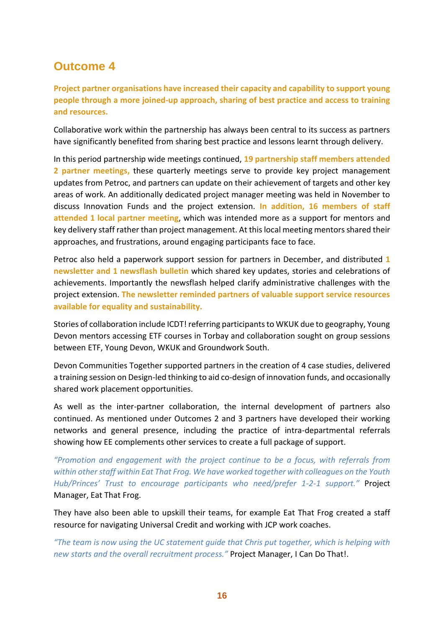**Project partner organisations have increased their capacity and capability to support young people through a more joined-up approach, sharing of best practice and access to training and resources.**

Collaborative work within the partnership has always been central to its success as partners have significantly benefited from sharing best practice and lessons learnt through delivery.

In this period partnership wide meetings continued, **19 partnership staff members attended 2 partner meetings,** these quarterly meetings serve to provide key project management updates from Petroc, and partners can update on their achievement of targets and other key areas of work. An additionally dedicated project manager meeting was held in November to discuss Innovation Funds and the project extension. **In addition, 16 members of staff attended 1 local partner meeting**, which was intended more as a support for mentors and key delivery staff rather than project management. At this local meeting mentors shared their approaches, and frustrations, around engaging participants face to face.

Petroc also held a paperwork support session for partners in December, and distributed **1 newsletter and 1 newsflash bulletin** which shared key updates, stories and celebrations of achievements. Importantly the newsflash helped clarify administrative challenges with the project extension. **The newsletter reminded partners of valuable support service resources available for equality and sustainability.**

Stories of collaboration include ICDT! referring participants to WKUK due to geography, Young Devon mentors accessing ETF courses in Torbay and collaboration sought on group sessions between ETF, Young Devon, WKUK and Groundwork South.

Devon Communities Together supported partners in the creation of 4 case studies, delivered a training session on Design-led thinking to aid co-design of innovation funds, and occasionally shared work placement opportunities.

As well as the inter-partner collaboration, the internal development of partners also continued. As mentioned under Outcomes 2 and 3 partners have developed their working networks and general presence, including the practice of intra-departmental referrals showing how EE complements other services to create a full package of support.

*"Promotion and engagement with the project continue to be a focus, with referrals from within other staff within Eat That Frog. We have worked together with colleagues on the Youth Hub/Princes' Trust to encourage participants who need/prefer 1-2-1 support."* Project Manager, Eat That Frog.

They have also been able to upskill their teams, for example Eat That Frog created a staff resource for navigating Universal Credit and working with JCP work coaches.

*"The team is now using the UC statement guide that Chris put together, which is helping with new starts and the overall recruitment process."* Project Manager, I Can Do That!.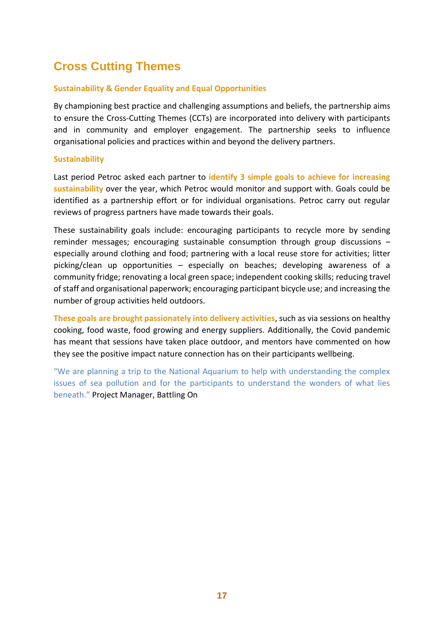## **Cross Cutting Themes**

#### **Sustainability & Gender Equality and Equal Opportunities**

By championing best practice and challenging assumptions and beliefs, the partnership aims to ensure the Cross-Cutting Themes (CCTs) are incorporated into delivery with participants and in community and employer engagement. The partnership seeks to influence organisational policies and practices within and beyond the delivery partners.

#### **Sustainability**

Last period Petroc asked each partner to **identify 3 simple goals to achieve for increasing sustainability** over the year, which Petroc would monitor and support with. Goals could be identified as a partnership effort or for individual organisations. Petroc carry out regular reviews of progress partners have made towards their goals.

These sustainability goals include: encouraging participants to recycle more by sending reminder messages; encouraging sustainable consumption through group discussions – especially around clothing and food; partnering with a local reuse store for activities; litter picking/clean up opportunities – especially on beaches; developing awareness of a community fridge; renovating a local green space; independent cooking skills; reducing travel of staff and organisational paperwork; encouraging participant bicycle use; and increasing the number of group activities held outdoors.

**These goals are brought passionately into delivery activities**, such as via sessions on healthy cooking, food waste, food growing and energy suppliers. Additionally, the Covid pandemic has meant that sessions have taken place outdoor, and mentors have commented on how they see the positive impact nature connection has on their participants wellbeing.

"We are planning a trip to the National Aquarium to help with understanding the complex issues of sea pollution and for the participants to understand the wonders of what lies beneath." Project Manager, Battling On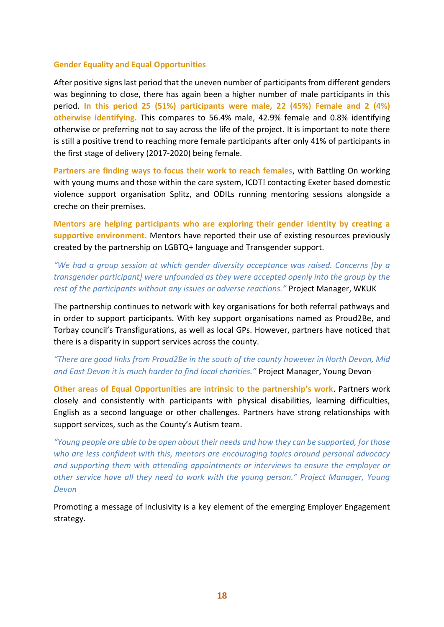#### **Gender Equality and Equal Opportunities**

After positive signs last period that the uneven number of participants from different genders was beginning to close, there has again been a higher number of male participants in this period. **In this period 25 (51%) participants were male, 22 (45%) Female and 2 (4%) otherwise identifying.** This compares to 56.4% male, 42.9% female and 0.8% identifying otherwise or preferring not to say across the life of the project. It is important to note there is still a positive trend to reaching more female participants after only 41% of participants in the first stage of delivery (2017-2020) being female.

**Partners are finding ways to focus their work to reach females**, with Battling On working with young mums and those within the care system, ICDT! contacting Exeter based domestic violence support organisation Splitz, and ODILs running mentoring sessions alongside a creche on their premises.

**Mentors are helping participants who are exploring their gender identity by creating a supportive environment.** Mentors have reported their use of existing resources previously created by the partnership on LGBTQ+ language and Transgender support.

*"We had a group session at which gender diversity acceptance was raised. Concerns [by a transgender participant] were unfounded as they were accepted openly into the group by the rest of the participants without any issues or adverse reactions."* Project Manager, WKUK

The partnership continues to network with key organisations for both referral pathways and in order to support participants. With key support organisations named as Proud2Be, and Torbay council's Transfigurations, as well as local GPs. However, partners have noticed that there is a disparity in support services across the county.

*"There are good links from Proud2Be in the south of the county however in North Devon, Mid and East Devon it is much harder to find local charities."* Project Manager, Young Devon

**Other areas of Equal Opportunities are intrinsic to the partnership's work**. Partners work closely and consistently with participants with physical disabilities, learning difficulties, English as a second language or other challenges. Partners have strong relationships with support services, such as the County's Autism team.

*"Young people are able to be open about their needs and how they can be supported, for those who are less confident with this, mentors are encouraging topics around personal advocacy and supporting them with attending appointments or interviews to ensure the employer or other service have all they need to work with the young person." Project Manager, Young Devon*

Promoting a message of inclusivity is a key element of the emerging Employer Engagement strategy.